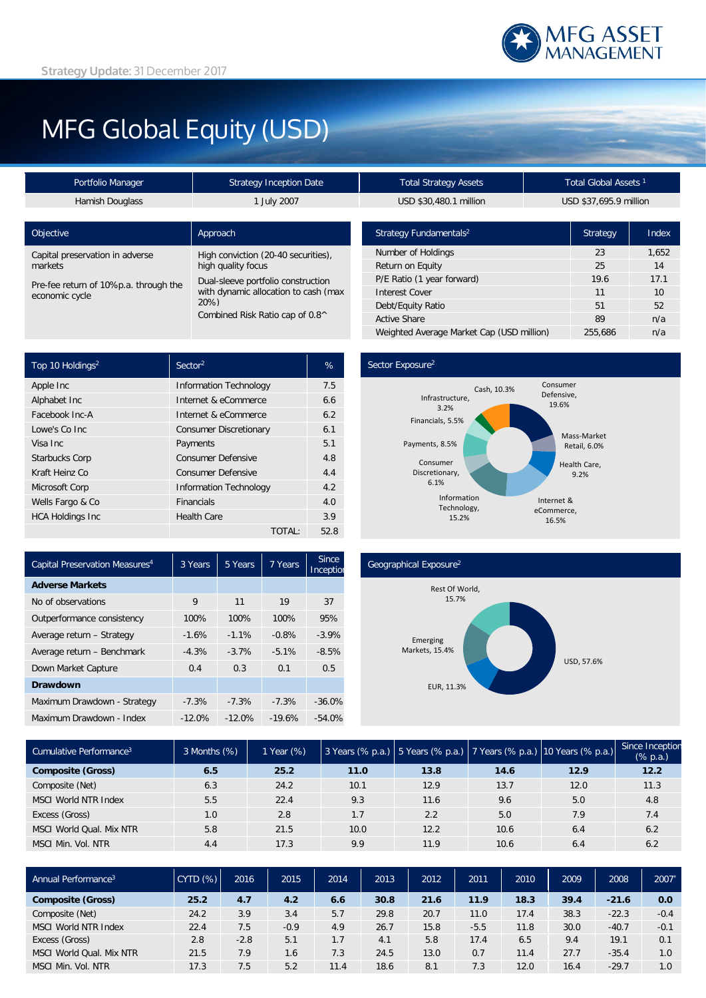# MFG Global Equity (USD)

| Portfolio Manager                                       | <b>Strategy Inception Date</b>                                                                                                                     | <b>Total Strategy Assets</b>       |      | Total Global Assets <sup>1</sup> |       |  |
|---------------------------------------------------------|----------------------------------------------------------------------------------------------------------------------------------------------------|------------------------------------|------|----------------------------------|-------|--|
| <b>Hamish Douglass</b>                                  | 1 July 2007                                                                                                                                        | USD \$30,480.1 million             |      | USD \$37,695.9 million           |       |  |
|                                                         |                                                                                                                                                    |                                    |      |                                  |       |  |
| Objective                                               | Approach                                                                                                                                           | Strategy Fundamentals <sup>2</sup> |      | <b>Strategy</b>                  | Index |  |
| Capital preservation in adverse                         | High conviction (20-40 securities),<br>high quality focus<br>Dual-sleeve portfolio construction<br>with dynamic allocation to cash (max<br>$20\%)$ | Number of Holdings                 |      | 23                               | 1.652 |  |
| markets                                                 |                                                                                                                                                    | Return on Equity                   |      | 25                               | 14    |  |
| Pre-fee return of 10%p.a. through the<br>economic cycle |                                                                                                                                                    | P/E Ratio (1 year forward)         | 19.6 | 17.1                             |       |  |
|                                                         |                                                                                                                                                    | <b>Interest Cover</b>              | 11   | 10                               |       |  |
|                                                         |                                                                                                                                                    | Debt/Equity Ratio                  | 51   | 52                               |       |  |
| Combined Risk Ratio cap of 0.8^                         |                                                                                                                                                    | <b>Active Share</b>                | 89   | n/a                              |       |  |

| Top 10 Holdings <sup>2</sup> | Sector <sup>2</sup>           | %    |
|------------------------------|-------------------------------|------|
| Apple Inc                    | <b>Information Technology</b> | 7.5  |
| Alphabet Inc                 | Internet & eCommerce          | 6.6  |
| Facebook Inc-A               | Internet & eCommerce          | 6.2  |
| Lowe's Co Inc.               | <b>Consumer Discretionary</b> | 6.1  |
| Visa Inc.                    | Payments                      | 5.1  |
| <b>Starbucks Corp</b>        | <b>Consumer Defensive</b>     | 4.8  |
| Kraft Heinz Co               | <b>Consumer Defensive</b>     | 4.4  |
| Microsoft Corp               | <b>Information Technology</b> | 4.2  |
| Wells Fargo & Co             | <b>Financials</b>             | 4.0  |
| <b>HCA Holdings Inc</b>      | <b>Health Care</b>            | 3.9  |
|                              | TOTAL:                        | 52.8 |

## Sector Exposure<sup>2</sup>



Weighted Average Market Cap (USD million) 255,686 n/a

| Capital Preservation Measures <sup>4</sup> | 3 Years  | 5 Years   | 7 Years  | <b>Since</b><br>Inceptior |
|--------------------------------------------|----------|-----------|----------|---------------------------|
| <b>Adverse Markets</b>                     |          |           |          |                           |
| No of observations                         | 9        | 11        | 19       | 37                        |
| Outperformance consistency                 | 100%     | 100%      | 100%     | 95%                       |
| Average return - Strategy                  | $-1.6%$  | $-1.1%$   | $-0.8%$  | $-3.9%$                   |
| Average return - Benchmark                 | $-4.3%$  | $-3.7%$   | $-5.1%$  | $-8.5%$                   |
| Down Market Capture                        | 0.4      | 0.3       | 0.1      | 0.5                       |
| <b>Drawdown</b>                            |          |           |          |                           |
| Maximum Drawdown - Strategy                | $-7.3%$  | $-7.3%$   | $-7.3%$  | $-36.0%$                  |
| Maximum Drawdown - Index                   | $-12.0%$ | $-12.0\%$ | $-19.6%$ | $-54.0%$                  |

#### Geographical Exposure2



| Cumulative Performance <sup>3</sup> | 3 Months (%) | 1 Year (%) |      |      |      | 3 Years (% p.a.) 5 Years (% p.a.) 7 Years (% p.a.) 10 Years (% p.a.) | Since Inception<br>$(\%$ p.a.) |
|-------------------------------------|--------------|------------|------|------|------|----------------------------------------------------------------------|--------------------------------|
| <b>Composite (Gross)</b>            | 6.5          | 25.2       | 11.0 | 13.8 | 14.6 | 12.9                                                                 | 12.2                           |
| Composite (Net)                     | 6.3          | 24.2       | 10.1 | 12.9 | 13.7 | 12.0                                                                 | 11.3                           |
| MSCI World NTR Index                | 5.5          | 22.4       | 9.3  | 11.6 | 9.6  | 5.0                                                                  | 4.8                            |
| Excess (Gross)                      | 1.0          | 2.8        | 1.7  | 2.2  | 5.0  | 7.9                                                                  | 7.4                            |
| MSCI World Oual, Mix NTR            | 5.8          | 21.5       | 10.0 | 12.2 | 10.6 | 6.4                                                                  | 6.2                            |
| MSCI Min. Vol. NTR                  | 4.4          | 17.3       | 9.9  | 11.9 | 10.6 | 6.4                                                                  | 6.2                            |

| Annual Performance <sup>3</sup> | CYTD(%) | 2016   | 2015   | 2014 | 2013 | 2012 | 2011   | 2010 | 2009 | 2008    | 2007   |
|---------------------------------|---------|--------|--------|------|------|------|--------|------|------|---------|--------|
| <b>Composite (Gross)</b>        | 25.2    | 4.7    | 4.2    | 6.6  | 30.8 | 21.6 | 11.9   | 18.3 | 39.4 | $-21.6$ | 0.0    |
| Composite (Net)                 | 24.2    | 3.9    | 3.4    | 5.7  | 29.8 | 20.7 | 11.0   | 17.4 | 38.3 | $-22.3$ | $-0.4$ |
| MSCI World NTR Index            | 22.4    | 7.5    | $-0.9$ | 4.9  | 26.7 | 15.8 | $-5.5$ | 11.8 | 30.0 | $-40.7$ | $-0.1$ |
| Excess (Gross)                  | 2.8     | $-2.8$ | 5.1    | 1.7  | 4.1  | 5.8  | 17.4   | 6.5  | 9.4  | 19.1    | 0.1    |
| MSCI World Qual. Mix NTR        | 21.5    | 7.9    | 1.6    | 7.3  | 24.5 | 13.0 | 0.7    | 11.4 | 27.7 | $-35.4$ | 1.0    |
| MSCI Min.<br>. Vol. NTR         | 17.3    | 7.5    | 5.2    | 11.4 | 18.6 | 8.1  | 7.3    | 12.0 | 16.4 | $-29.7$ | 1.0    |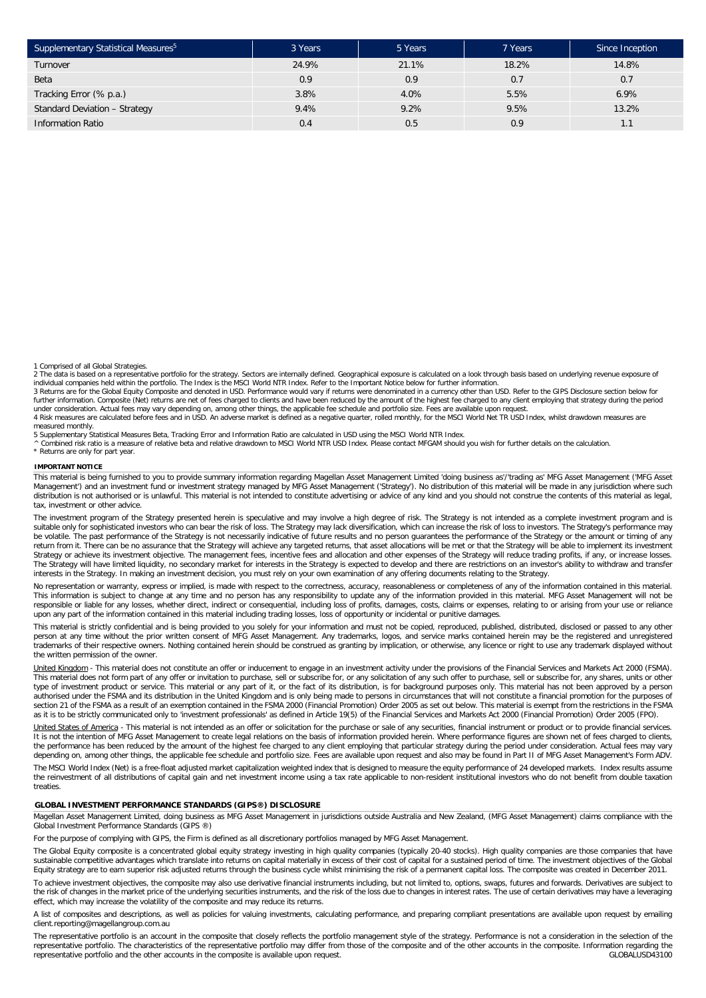| Supplementary Statistical Measures <sup>5</sup> | 3 Years | 5 Years | 7 Years | Since Inception |
|-------------------------------------------------|---------|---------|---------|-----------------|
| Turnover                                        | 24.9%   | 21.1%   | 18.2%   | 14.8%           |
| Beta                                            | 0.9     | 0.9     | 0.7     | 0.7             |
| Tracking Error (% p.a.)                         | 3.8%    | 4.0%    | 5.5%    | 6.9%            |
| Standard Deviation - Strategy                   | 9.4%    | 9.2%    | 9.5%    | 13.2%           |
| <b>Information Ratio</b>                        | 0.4     | 0.5     | 0.9     | 1.1             |

1 Comprised of all Global Strategies.

2 The data is based on a representative portfolio for the strategy. Sectors are internally defined. Geographical exposure is calculated on a look through basis based on underlying revenue exposure of individual companies held within the portfolio. The Index is the MSCI World NTR Index. Refer to the Important Notice below for further information.

3 Returns are for the Global Equity Composite and denoted in USD. Performance would vary if returns were denominated in a currency other than USD. Refer to the GIPS Disclosure section below for<br>further information. Composi under consideration. Actual fees may vary depending on, among other things, the applicable fee schedule and portfolio size. Fees are available upon request.

4 Risk measures are calculated before fees and in USD. An adverse market is defined as a negative quarter, rolled monthly, for the MSCI World Net TR USD Index, whilst drawdown measures are measured monthly.

5 Supplementary Statistical Measures Beta, Tracking Error and Information Ratio are calculated in USD using the MSCI World NTR Index.<br>^ Combined risk ratio is a measure of relative beta and relative drawdown to MSCI World

\* Returns are only for part year.

#### **IMPORTANT NOTICE**

This material is being furnished to you to provide summary information regarding Magellan Asset Management Limited 'doing business as'/'trading as' MFG Asset Management ('MFG Asset Management') and an investment fund or investment strategy managed by MFG Asset Management ('Strategy'). No distribution of this material will be made in any jurisdiction where such distribution is not authorised or is unlawful. This material is not intended to constitute advertising or advice of any kind and you should not construe the contents of this material as legal, tax, investment or other advice.

The investment program of the Strategy presented herein is speculative and may involve a high degree of risk. The Strategy is not intended as a complete investment program and is suitable only for sophisticated investors who can bear the risk of loss. The Strategy may lack diversification, which can increase the risk of loss to investors. The Strategy's performance may<br>be volatile. The past perform return from it. There can be no assurance that the Strategy will achieve any targeted returns, that asset allocations will be met or that the Strategy will be able to implement its investment Strategy or achieve its investment objective. The management fees, incentive fees and allocation and other expenses of the Strategy will reduce trading profits, if any, or increase losses. The Strategy will have limited liquidity, no secondary market for interests in the Strategy is expected to develop and there are restrictions on an investor's ability to withdraw and transfer interests in the Strategy. In making an investment decision, you must rely on your own examination of any offering documents relating to the Strategy.

No representation or warranty, express or implied, is made with respect to the correctness, accuracy, reasonableness or completeness of any of the information contained in this material. This information is subject to change at any time and no person has any responsibility to update any of the information provided in this material. MFG Asset Management will not be responsible or liable for any losses, whether direct, indirect or consequential, including loss of profits, damages, costs, claims or expenses, relating to or arising from your use or reliance upon any part of the information contained in this material including trading losses, loss of opportunity or incidental or punitive damages.

This material is strictly confidential and is being provided to you solely for your information and must not be copied, reproduced, published, distributed, disclosed or passed to any other<br>person at any time without the pr trademarks of their respective owners. Nothing contained herein should be construed as granting by implication, or otherwise, any licence or right to use any trademark displayed without the written permission of the owner.

United Kingdom - This material does not constitute an offer or inducement to engage in an investment activity under the provisions of the Financial Services and Markets Act 2000 (FSMA). This material does not form part of any offer or invitation to purchase, sell or subscribe for, or any solicitation of any such offer to purchase, sell or subscribe for, any shares, units or other type of investment product or service. This material or any part of it, or the fact of its distribution, is for background purposes only. This material has not been approved by a person<br>authorised under the FSMA and its di section 21 of the FSMA as a result of an exemption contained in the FSMA 2000 (Financial Promotion) Order 2005 as set out below. This material is exempt from the restrictions in the FSMA as it is to be strictly communicated only to 'investment professionals' as defined in Article 19(5) of the Financial Services and Markets Act 2000 (Financial Promotion) Order 2005 (FPO).

United States of America - This material is not intended as an offer or solicitation for the purchase or sale of any securities, financial instrument or product or to provide financial services. It is not the intention of MFG Asset Management to create legal relations on the basis of information provided herein. Where performance figures are shown net of fees charged to clients, the performance has been reduced by the amount of the highest fee charged to any client employing that particular strategy during the period under consideration. Actual fees may vary depending on, among other things, the applicable fee schedule and portfolio size. Fees are available upon request and also may be found in Part II of MFG Asset Management's Form ADV.

The MSCI World Index (Net) is a free-float adjusted market capitalization weighted index that is designed to measure the equity performance of 24 developed markets. Index results assume the reinvestment of all distributions of capital gain and net investment income using a tax rate applicable to non-resident institutional investors who do not benefit from double taxation treaties.

#### **GLOBAL INVESTMENT PERFORMANCE STANDARDS (GIPS®) DISCLOSURE**

Magellan Asset Management Limited, doing business as MFG Asset Management in jurisdictions outside Australia and New Zealand, (MFG Asset Management) claims compliance with the Global Investment Performance Standards (GIPS ®)

For the purpose of complying with GIPS, the Firm is defined as all discretionary portfolios managed by MFG Asset Management.

The Global Equity composite is a concentrated global equity strategy investing in high quality companies (typically 20-40 stocks). High quality companies are those companies that have sustainable competitive advantages which translate into returns on capital materially in excess of their cost of capital for a sustained period of time. The investment objectives of the Global Equity strategy are to earn superior risk adjusted returns through the business cycle whilst minimising the risk of a permanent capital loss. The composite was created in December 2011.

To achieve investment objectives, the composite may also use derivative financial instruments including, but not limited to, options, swaps, futures and forwards. Derivatives are subject to<br>the risk of changes in the marke effect, which may increase the volatility of the composite and may reduce its returns.

A list of composites and descriptions, as well as policies for valuing investments, calculating performance, and preparing compliant presentations are available upon request by emailing client.reporting@magellangroup.com.au

The representative portfolio is an account in the composite that closely reflects the portfolio management style of the strategy. Performance is not a consideration in the selection of the<br>representative portfolio. The cha representative portfolio and the other accounts in the composite is available upon request.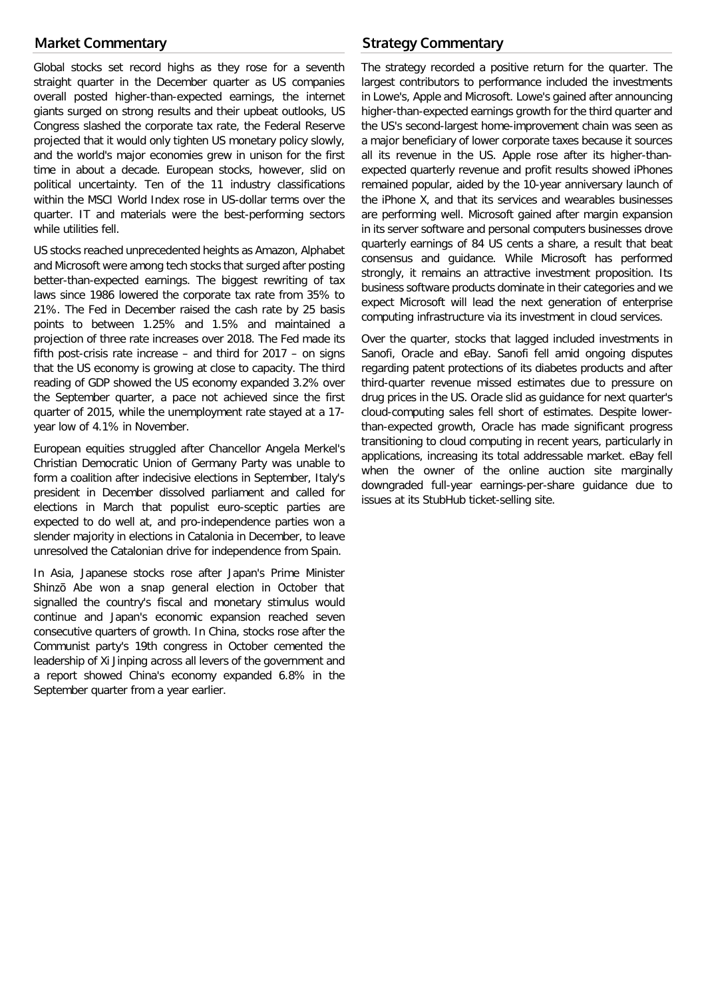# **Market Commentary**

Global stocks set record highs as they rose for a seventh straight quarter in the December quarter as US companies overall posted higher-than-expected earnings, the internet giants surged on strong results and their upbeat outlooks, US Congress slashed the corporate tax rate, the Federal Reserve projected that it would only tighten US monetary policy slowly, and the world's major economies grew in unison for the first time in about a decade. European stocks, however, slid on political uncertainty. Ten of the 11 industry classifications within the MSCI World Index rose in US-dollar terms over the quarter. IT and materials were the best-performing sectors while utilities fell.

US stocks reached unprecedented heights as Amazon, Alphabet and Microsoft were among tech stocks that surged after posting better-than-expected earnings. The biggest rewriting of tax laws since 1986 lowered the corporate tax rate from 35% to 21%. The Fed in December raised the cash rate by 25 basis points to between 1.25% and 1.5% and maintained a projection of three rate increases over 2018. The Fed made its fifth post-crisis rate increase – and third for 2017 – on signs that the US economy is growing at close to capacity. The third reading of GDP showed the US economy expanded 3.2% over the September quarter, a pace not achieved since the first quarter of 2015, while the unemployment rate stayed at a 17 year low of 4.1% in November.

European equities struggled after Chancellor Angela Merkel's Christian Democratic Union of Germany Party was unable to form a coalition after indecisive elections in September, Italy's president in December dissolved parliament and called for elections in March that populist euro-sceptic parties are expected to do well at, and pro-independence parties won a slender majority in elections in Catalonia in December, to leave unresolved the Catalonian drive for independence from Spain.

In Asia, Japanese stocks rose after Japan's Prime Minister Shinzō Abe won a snap general election in October that signalled the country's fiscal and monetary stimulus would continue and Japan's economic expansion reached seven consecutive quarters of growth. In China, stocks rose after the Communist party's 19th congress in October cemented the leadership of Xi Jinping across all levers of the government and a report showed China's economy expanded 6.8% in the September quarter from a year earlier.

# **Strategy Commentary**

The strategy recorded a positive return for the quarter. The largest contributors to performance included the investments in Lowe's, Apple and Microsoft. Lowe's gained after announcing higher-than-expected earnings growth for the third quarter and the US's second-largest home-improvement chain was seen as a major beneficiary of lower corporate taxes because it sources all its revenue in the US. Apple rose after its higher-thanexpected quarterly revenue and profit results showed iPhones remained popular, aided by the 10-year anniversary launch of the iPhone X, and that its services and wearables businesses are performing well. Microsoft gained after margin expansion in its server software and personal computers businesses drove quarterly earnings of 84 US cents a share, a result that beat consensus and guidance. While Microsoft has performed strongly, it remains an attractive investment proposition. Its business software products dominate in their categories and we expect Microsoft will lead the next generation of enterprise computing infrastructure via its investment in cloud services.

Over the quarter, stocks that lagged included investments in Sanofi, Oracle and eBay. Sanofi fell amid ongoing disputes regarding patent protections of its diabetes products and after third-quarter revenue missed estimates due to pressure on drug prices in the US. Oracle slid as guidance for next quarter's cloud-computing sales fell short of estimates. Despite lowerthan-expected growth, Oracle has made significant progress transitioning to cloud computing in recent years, particularly in applications, increasing its total addressable market. eBay fell when the owner of the online auction site marginally downgraded full-year earnings-per-share guidance due to issues at its StubHub ticket-selling site.